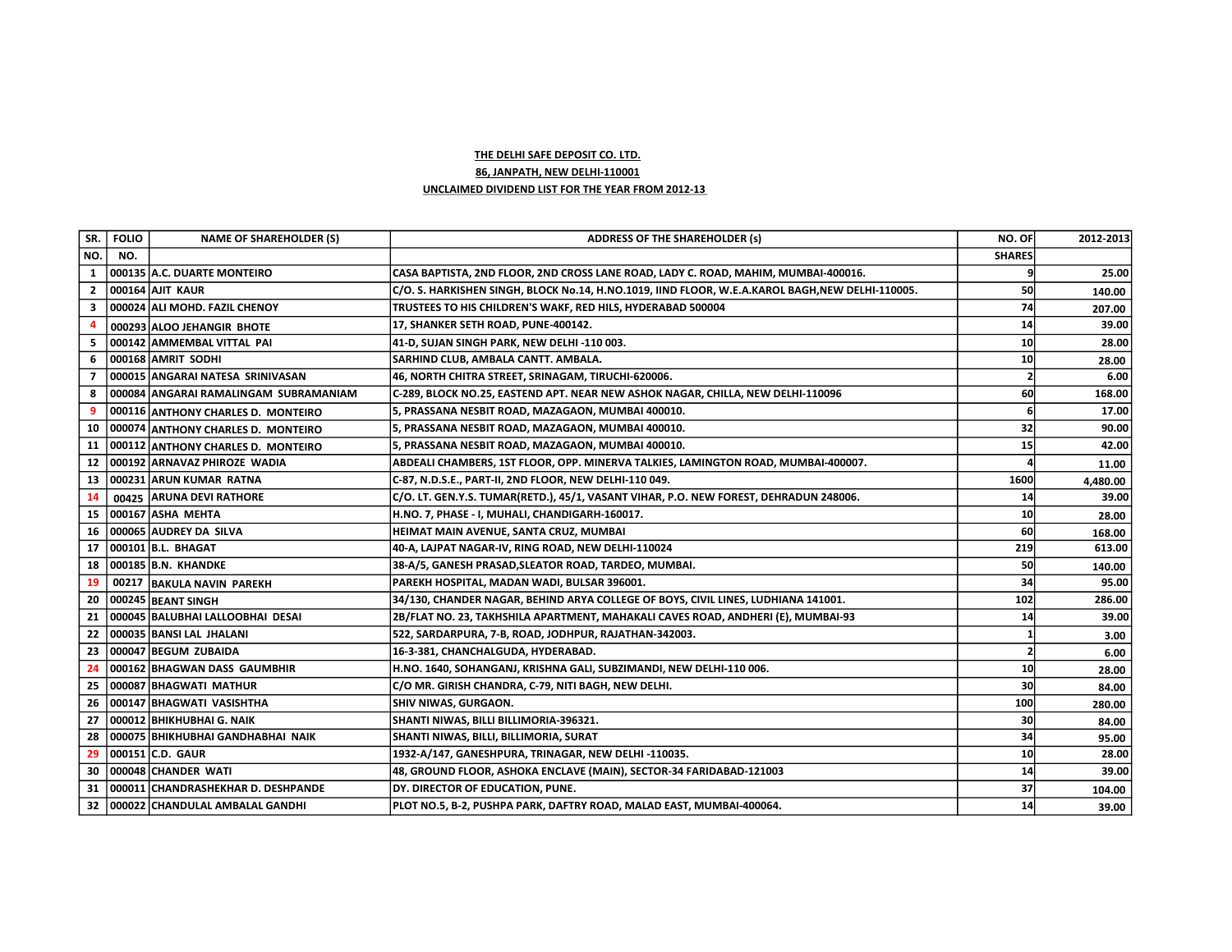## THE DELHI SAFE DEPOSIT CO. LTD.

86, JANPATH, NEW DELHI-110001

## UNCLAIMED DIVIDEND LIST FOR THE YEAR FROM 2012-13

| SR.            | <b>FOLIO</b> | <b>NAME OF SHAREHOLDER (S)</b>         | <b>ADDRESS OF THE SHAREHOLDER (s)</b>                                                            | NO. OF          | 2012-2013 |
|----------------|--------------|----------------------------------------|--------------------------------------------------------------------------------------------------|-----------------|-----------|
| NO.            | NO.          |                                        |                                                                                                  | <b>SHARES</b>   |           |
| 1              |              | 000135 A.C. DUARTE MONTEIRO            | CASA BAPTISTA, 2ND FLOOR, 2ND CROSS LANE ROAD, LADY C. ROAD, MAHIM, MUMBAI-400016.               |                 | 25.00     |
| $\mathbf{2}$   |              | 000164 AJIT KAUR                       | C/O. S. HARKISHEN SINGH, BLOCK No.14, H.NO.1019, IIND FLOOR, W.E.A.KAROL BAGH, NEW DELHI-110005. | 50              | 140.00    |
| 3              |              | 000024 ALI MOHD. FAZIL CHENOY          | TRUSTEES TO HIS CHILDREN'S WAKF, RED HILS, HYDERABAD 500004                                      | 74              | 207.00    |
| -4             |              | 000293 ALOO JEHANGIR BHOTE             | 17, SHANKER SETH ROAD, PUNE-400142.                                                              | 14              | 39.00     |
| 5              |              | 000142 AMMEMBAL VITTAL PAI             | 41-D, SUJAN SINGH PARK, NEW DELHI -110 003.                                                      | 10              | 28.00     |
| 6              |              | 000168 AMRIT SODHI                     | SARHIND CLUB, AMBALA CANTT. AMBALA.                                                              | 10 <sup>1</sup> | 28.00     |
| $\overline{7}$ |              | 000015 ANGARAI NATESA SRINIVASAN       | 46, NORTH CHITRA STREET, SRINAGAM, TIRUCHI-620006.                                               |                 | 6.00      |
| 8              |              | 000084 ANGARAI RAMALINGAM SUBRAMANIAM  | C-289, BLOCK NO.25, EASTEND APT. NEAR NEW ASHOK NAGAR, CHILLA, NEW DELHI-110096                  | 60              | 168.00    |
| -9             |              | 000116 ANTHONY CHARLES D. MONTEIRO     | 5, PRASSANA NESBIT ROAD, MAZAGAON, MUMBAI 400010.                                                |                 | 17.00     |
| 10             |              | 000074 ANTHONY CHARLES D. MONTEIRO     | 5, PRASSANA NESBIT ROAD, MAZAGAON, MUMBAI 400010.                                                | 32              | 90.00     |
|                |              | 11 000112 ANTHONY CHARLES D. MONTEIRO  | 5, PRASSANA NESBIT ROAD, MAZAGAON, MUMBAI 400010.                                                | 15              | 42.00     |
|                |              | 12 000192 ARNAVAZ PHIROZE WADIA        | ABDEALI CHAMBERS, 1ST FLOOR, OPP. MINERVA TALKIES, LAMINGTON ROAD, MUMBAI-400007.                |                 | 11.00     |
| 13             |              | 000231 ARUN KUMAR RATNA                | C-87, N.D.S.E., PART-II, 2ND FLOOR, NEW DELHI-110 049.                                           | 1600            | 4,480.00  |
| 14             |              | 00425 ARUNA DEVI RATHORE               | C/O. LT. GEN.Y.S. TUMAR(RETD.), 45/1, VASANT VIHAR, P.O. NEW FOREST, DEHRADUN 248006.            | 14              | 39.00     |
| 15             |              | 000167 ASHA MEHTA                      | H.NO. 7, PHASE - I, MUHALI, CHANDIGARH-160017.                                                   | 10              | 28.00     |
| 16             |              | 000065 AUDREY DA SILVA                 | HEIMAT MAIN AVENUE, SANTA CRUZ, MUMBAI                                                           | 60              | 168.00    |
|                |              | 17 000101 B.L. BHAGAT                  | 40-A, LAJPAT NAGAR-IV, RING ROAD, NEW DELHI-110024                                               | 219             | 613.00    |
| 18             |              | 000185 B.N. KHANDKE                    | 38-A/5, GANESH PRASAD, SLEATOR ROAD, TARDEO, MUMBAI.                                             | 50              | 140.00    |
| 19             | 00217        | <b>BAKULA NAVIN PAREKH</b>             | PAREKH HOSPITAL, MADAN WADI, BULSAR 396001.                                                      | 34              | 95.00     |
| 20             |              | 000245 BEANT SINGH                     | 34/130, CHANDER NAGAR, BEHIND ARYA COLLEGE OF BOYS, CIVIL LINES, LUDHIANA 141001.                | 102             | 286.00    |
| 21             |              | 000045 BALUBHAI LALLOOBHAI DESAI       | 2B/FLAT NO. 23, TAKHSHILA APARTMENT, MAHAKALI CAVES ROAD, ANDHERI (E), MUMBAI-93                 | 14              | 39.00     |
|                |              | 22   000035   BANSI LAL JHALANI        | 522, SARDARPURA, 7-B, ROAD, JODHPUR, RAJATHAN-342003.                                            |                 | 3.00      |
| 23             |              | 000047 BEGUM ZUBAIDA                   | 16-3-381, CHANCHALGUDA, HYDERABAD.                                                               |                 | 6.00      |
| 24             |              | 000162 BHAGWAN DASS GAUMBHIR           | H.NO. 1640, SOHANGANJ, KRISHNA GALI, SUBZIMANDI, NEW DELHI-110 006.                              | 10              | 28.00     |
| 25             |              | 000087 BHAGWATI MATHUR                 | C/O MR. GIRISH CHANDRA, C-79, NITI BAGH, NEW DELHI.                                              | 30              | 84.00     |
| 26             |              | 000147 BHAGWATI VASISHTHA              | SHIV NIWAS, GURGAON.                                                                             | 100             | 280.00    |
| 27             |              | 000012   BHIKHUBHAI G. NAIK            | SHANTI NIWAS, BILLI BILLIMORIA-396321.                                                           | 30l             | 84.00     |
| 28             |              | 000075 BHIKHUBHAI GANDHABHAI NAIK      | SHANTI NIWAS, BILLI, BILLIMORIA, SURAT                                                           | 34              | 95.00     |
| 29             |              | 000151 C.D. GAUR                       | 1932-A/147, GANESHPURA, TRINAGAR, NEW DELHI -110035.                                             | 10              | 28.00     |
| 30             |              | 000048 CHANDER WATI                    | 48, GROUND FLOOR, ASHOKA ENCLAVE (MAIN), SECTOR-34 FARIDABAD-121003                              | 14              | 39.00     |
| 31             |              | 000011 CHANDRASHEKHAR D. DESHPANDE     | DY. DIRECTOR OF EDUCATION, PUNE.                                                                 | 37              | 104.00    |
|                |              | 32   000022   CHANDULAL AMBALAL GANDHI | PLOT NO.5, B-2, PUSHPA PARK, DAFTRY ROAD, MALAD EAST, MUMBAI-400064.                             | 14              | 39.00     |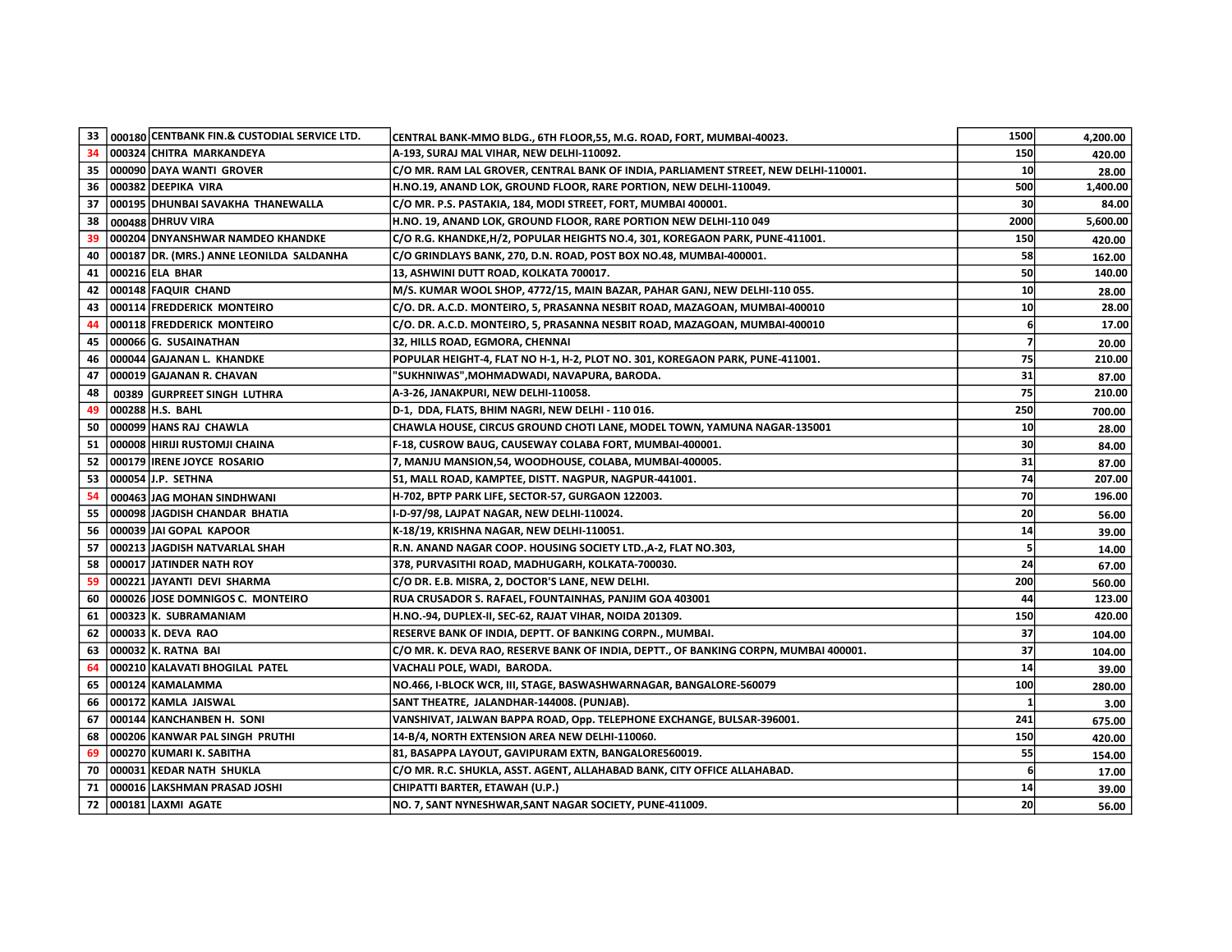| 33 I | 000180 CENTBANK FIN.& CUSTODIAL SERVICE LTD. | CENTRAL BANK-MMO BLDG., 6TH FLOOR,55, M.G. ROAD, FORT, MUMBAI-40023.                 | 1500 | 4,200.00 |
|------|----------------------------------------------|--------------------------------------------------------------------------------------|------|----------|
| 34   | 000324 CHITRA MARKANDEYA                     | A-193, SURAJ MAL VIHAR, NEW DELHI-110092.                                            | 150  | 420.00   |
| 35   | 000090 DAYA WANTI GROVER                     | C/O MR. RAM LAL GROVER, CENTRAL BANK OF INDIA, PARLIAMENT STREET, NEW DELHI-110001.  | 10   | 28.00    |
| 36   | 000382 DEEPIKA VIRA                          | H.NO.19, ANAND LOK, GROUND FLOOR, RARE PORTION, NEW DELHI-110049.                    | 500  | 1,400.00 |
| 37   | 000195 DHUNBAI SAVAKHA THANEWALLA            | C/O MR. P.S. PASTAKIA, 184, MODI STREET, FORT, MUMBAI 400001.                        | 30   | 84.00    |
| 38   | 000488 DHRUV VIRA                            | H.NO. 19, ANAND LOK, GROUND FLOOR, RARE PORTION NEW DELHI-110 049                    | 2000 | 5,600.00 |
| 39   | 000204 DNYANSHWAR NAMDEO KHANDKE             | C/O R.G. KHANDKE,H/2, POPULAR HEIGHTS NO.4, 301, KOREGAON PARK, PUNE-411001.         | 150  | 420.00   |
| 40   | 000187   DR. (MRS.) ANNE LEONILDA SALDANHA   | C/O GRINDLAYS BANK, 270, D.N. ROAD, POST BOX NO.48, MUMBAI-400001.                   | 58   | 162.00   |
| 41   | 000216 ELA BHAR                              | 13, ASHWINI DUTT ROAD, KOLKATA 700017.                                               | 50   | 140.00   |
| 42   | 000148 FAQUIR CHAND                          | M/S. KUMAR WOOL SHOP, 4772/15, MAIN BAZAR, PAHAR GANJ, NEW DELHI-110 055.            | 10   | 28.00    |
| 43   | 000114 FREDDERICK MONTEIRO                   | C/O. DR. A.C.D. MONTEIRO, 5, PRASANNA NESBIT ROAD, MAZAGOAN, MUMBAI-400010           | 10   | 28.00    |
| 44   | 000118 FREDDERICK MONTEIRO                   | C/O. DR. A.C.D. MONTEIRO, 5, PRASANNA NESBIT ROAD, MAZAGOAN, MUMBAI-400010           | 6    | 17.00    |
| 45   | 000066 G. SUSAINATHAN                        | 32, HILLS ROAD, EGMORA, CHENNAI                                                      |      | 20.00    |
| 46   | 000044 GAJANAN L. KHANDKE                    | POPULAR HEIGHT-4, FLAT NO H-1, H-2, PLOT NO. 301, KOREGAON PARK, PUNE-411001.        | 75   | 210.00   |
| 47   | 000019 GAJANAN R. CHAVAN                     | "SUKHNIWAS",MOHMADWADI, NAVAPURA, BARODA.                                            | 31   | 87.00    |
| 48   | 00389 GURPREET SINGH LUTHRA                  | A-3-26, JANAKPURI, NEW DELHI-110058.                                                 | 75   | 210.00   |
| 49   | 000288 H.S. BAHL                             | D-1, DDA, FLATS, BHIM NAGRI, NEW DELHI - 110 016.                                    | 250  | 700.00   |
| 50   | 000099 HANS RAJ CHAWLA                       | CHAWLA HOUSE, CIRCUS GROUND CHOTI LANE, MODEL TOWN, YAMUNA NAGAR-135001              | 10   | 28.00    |
| 51   | 000008 HIRIJI RUSTOMJI CHAINA                | F-18, CUSROW BAUG, CAUSEWAY COLABA FORT, MUMBAI-400001.                              | 30   | 84.00    |
| 52   | 000179 IRENE JOYCE ROSARIO                   | 7, MANJU MANSION, 54, WOODHOUSE, COLABA, MUMBAI-400005.                              | 31   | 87.00    |
| 53   | 000054 J.P. SETHNA                           | 51, MALL ROAD, KAMPTEE, DISTT. NAGPUR, NAGPUR-441001.                                | 74   | 207.00   |
| 54   | 000463 JAG MOHAN SINDHWANI                   | H-702, BPTP PARK LIFE, SECTOR-57, GURGAON 122003.                                    | 70   | 196.00   |
| 55   | 000098 JAGDISH CHANDAR BHATIA                | I-D-97/98, LAJPAT NAGAR, NEW DELHI-110024.                                           | 20   | 56.00    |
| 56   | 000039 JAI GOPAL KAPOOR                      | K-18/19, KRISHNA NAGAR, NEW DELHI-110051.                                            | 14   | 39.00    |
| 57   | 000213 JAGDISH NATVARLAL SHAH                | R.N. ANAND NAGAR COOP. HOUSING SOCIETY LTD., A-2, FLAT NO.303,                       |      | 14.00    |
| 58   | 000017 JATINDER NATH ROY                     | 378, PURVASITHI ROAD, MADHUGARH, KOLKATA-700030.                                     | 24   | 67.00    |
| 59   | 000221 JAYANTI DEVI SHARMA                   | C/O DR. E.B. MISRA, 2, DOCTOR'S LANE, NEW DELHI.                                     | 200  | 560.00   |
| 60   | 000026 JOSE DOMNIGOS C. MONTEIRO             | RUA CRUSADOR S. RAFAEL, FOUNTAINHAS, PANJIM GOA 403001                               | 44   | 123.00   |
| 61   | 000323 K. SUBRAMANIAM                        | H.NO.-94, DUPLEX-II, SEC-62, RAJAT VIHAR, NOIDA 201309.                              | 150  | 420.00   |
| 62   | 000033 K. DEVA RAO                           | RESERVE BANK OF INDIA, DEPTT. OF BANKING CORPN., MUMBAI.                             | 37   | 104.00   |
| 63   | 000032 K. RATNA BAI                          | C/O MR. K. DEVA RAO, RESERVE BANK OF INDIA, DEPTT., OF BANKING CORPN, MUMBAI 400001. | 37   | 104.00   |
| 64   | 000210 KALAVATI BHOGILAL PATEL               | VACHALI POLE, WADI, BARODA.                                                          | 14   | 39.00    |
| 65   | 000124 KAMALAMMA                             | NO.466, I-BLOCK WCR, III, STAGE, BASWASHWARNAGAR, BANGALORE-560079                   | 100  | 280.00   |
| 66   | 000172 KAMLA JAISWAL                         | SANT THEATRE, JALANDHAR-144008. (PUNJAB).                                            |      | 3.00     |
| 67   | 000144 KANCHANBEN H. SONI                    | VANSHIVAT, JALWAN BAPPA ROAD, Opp. TELEPHONE EXCHANGE, BULSAR-396001.                | 241  | 675.00   |
| 68   | 000206 KANWAR PAL SINGH PRUTHI               | 14-B/4, NORTH EXTENSION AREA NEW DELHI-110060.                                       | 150  | 420.00   |
| 69   | 000270 KUMARI K. SABITHA                     | 81, BASAPPA LAYOUT, GAVIPURAM EXTN, BANGALORE560019.                                 | 55   | 154.00   |
| 70   | 000031 KEDAR NATH SHUKLA                     | C/O MR. R.C. SHUKLA, ASST. AGENT, ALLAHABAD BANK, CITY OFFICE ALLAHABAD.             |      | 17.00    |
| 71   | 000016 LAKSHMAN PRASAD JOSHI                 | CHIPATTI BARTER, ETAWAH (U.P.)                                                       | 14   | 39.00    |
| 72   | 000181 LAXMI AGATE                           | NO. 7, SANT NYNESHWAR, SANT NAGAR SOCIETY, PUNE-411009.                              | 20   | 56.00    |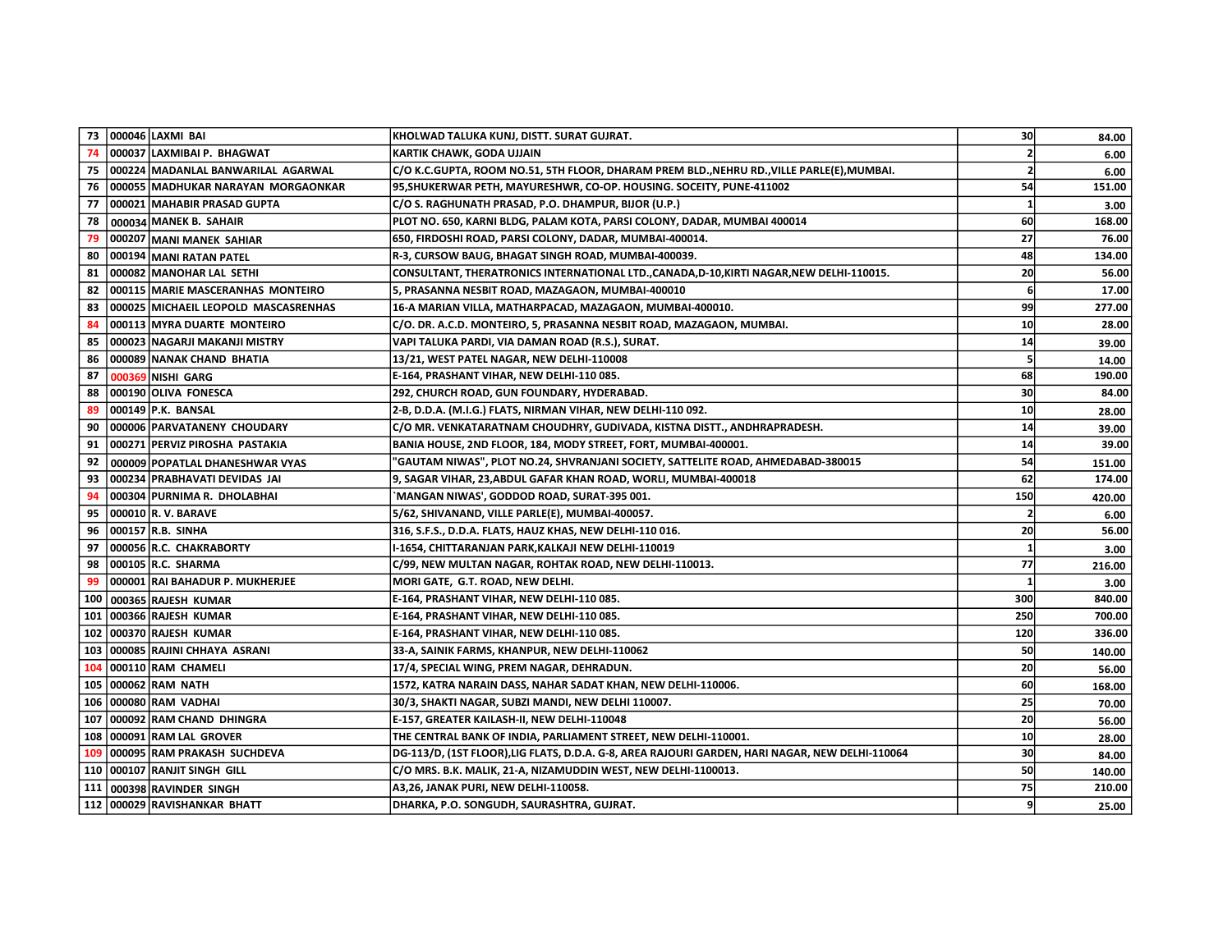|                  |        | 73 000046 LAXMI BAI                       | KHOLWAD TALUKA KUNJ, DISTT. SURAT GUJRAT.                                                       | 30  | 84.00  |
|------------------|--------|-------------------------------------------|-------------------------------------------------------------------------------------------------|-----|--------|
| 74               |        | 000037 LAXMIBAI P. BHAGWAT                | KARTIK CHAWK, GODA UJJAIN                                                                       |     | 6.00   |
|                  |        | 75   000224   MADANLAL BANWARILAL AGARWAL | C/O K.C.GUPTA, ROOM NO.51, 5TH FLOOR, DHARAM PREM BLD., NEHRU RD., VILLE PARLE(E), MUMBAI.      |     | 6.00   |
| 76               |        | 000055 MADHUKAR NARAYAN MORGAONKAR        | 95, SHUKERWAR PETH, MAYURESHWR, CO-OP. HOUSING. SOCEITY, PUNE-411002                            | 54  | 151.00 |
| 77               |        | 000021 MAHABIR PRASAD GUPTA               | C/O S. RAGHUNATH PRASAD, P.O. DHAMPUR, BIJOR (U.P.)                                             |     | 3.00   |
| 78               |        | 000034 MANEK B. SAHAIR                    | PLOT NO. 650, KARNI BLDG, PALAM KOTA, PARSI COLONY, DADAR, MUMBAI 400014                        | 60  | 168.00 |
| 79               | 000207 | MANI MANEK SAHIAR                         | 650, FIRDOSHI ROAD, PARSI COLONY, DADAR, MUMBAI-400014.                                         | 27  | 76.00  |
| 80               |        | 000194 MANI RATAN PATEL                   | R-3, CURSOW BAUG, BHAGAT SINGH ROAD, MUMBAI-400039.                                             | 48  | 134.00 |
| 81               |        | 000082 MANOHAR LAL SETHI                  | CONSULTANT, THERATRONICS INTERNATIONAL LTD., CANADA, D-10, KIRTI NAGAR, NEW DELHI-110015.       | 20  | 56.00  |
| 82               |        | 000115 MARIE MASCERANHAS MONTEIRO         | 5, PRASANNA NESBIT ROAD, MAZAGAON, MUMBAI-400010                                                |     | 17.00  |
| 83               |        | 000025 MICHAEIL LEOPOLD MASCASRENHAS      | 16-A MARIAN VILLA, MATHARPACAD, MAZAGAON, MUMBAI-400010.                                        | 99  | 277.00 |
| 84               |        | 000113 MYRA DUARTE MONTEIRO               | C/O. DR. A.C.D. MONTEIRO, 5, PRASANNA NESBIT ROAD, MAZAGAON, MUMBAI.                            | 10  | 28.00  |
| 85               |        | 000023 NAGARJI MAKANJI MISTRY             | VAPI TALUKA PARDI, VIA DAMAN ROAD (R.S.), SURAT.                                                | 14  | 39.00  |
| 86               |        | 000089 NANAK CHAND BHATIA                 | 13/21, WEST PATEL NAGAR, NEW DELHI-110008                                                       |     | 14.00  |
| 87               | 000369 | NISHI GARG                                | E-164, PRASHANT VIHAR, NEW DELHI-110 085.                                                       | 68  | 190.00 |
| 88               |        | 000190 OLIVA FONESCA                      | 292, CHURCH ROAD, GUN FOUNDARY, HYDERABAD.                                                      | 30  | 84.00  |
| 89               |        | 000149 P.K. BANSAL                        | 2-B, D.D.A. (M.I.G.) FLATS, NIRMAN VIHAR, NEW DELHI-110 092.                                    | 10  | 28.00  |
| 90               |        | 000006 PARVATANENY CHOUDARY               | C/O MR. VENKATARATNAM CHOUDHRY, GUDIVADA, KISTNA DISTT., ANDHRAPRADESH.                         | 14  | 39.00  |
| 91               |        | 000271 PERVIZ PIROSHA PASTAKIA            | BANIA HOUSE, 2ND FLOOR, 184, MODY STREET, FORT, MUMBAI-400001.                                  | 14  | 39.00  |
| 92               |        | 000009 POPATLAL DHANESHWAR VYAS           | 'GAUTAM NIWAS", PLOT NO.24, SHVRANJANI SOCIETY, SATTELITE ROAD, AHMEDABAD-380015                | 54  | 151.00 |
| 93               |        | 000234 PRABHAVATI DEVIDAS JAI             | 9, SAGAR VIHAR, 23, ABDUL GAFAR KHAN ROAD, WORLI, MUMBAI-400018                                 | 62  | 174.00 |
| 94               |        | 000304 PURNIMA R. DHOLABHAI               | `MANGAN NIWAS', GODDOD ROAD, SURAT-395 001.                                                     | 150 | 420.00 |
| 95               |        | 000010 R.V. BARAVE                        | 5/62, SHIVANAND, VILLE PARLE(E), MUMBAI-400057.                                                 |     | 6.00   |
| 96               |        | 000157 R.B. SINHA                         | 316, S.F.S., D.D.A. FLATS, HAUZ KHAS, NEW DELHI-110 016.                                        | 20  | 56.00  |
| 97               |        | 000056 R.C. CHAKRABORTY                   | I-1654, CHITTARANJAN PARK, KALKAJI NEW DELHI-110019                                             |     | 3.00   |
| 98               |        | 000105 R.C. SHARMA                        | C/99, NEW MULTAN NAGAR, ROHTAK ROAD, NEW DELHI-110013.                                          | 77  | 216.00 |
| 99               |        | 000001 RAI BAHADUR P. MUKHERJEE           | MORI GATE, G.T. ROAD, NEW DELHI.                                                                |     | 3.00   |
| 100              |        | 000365 RAJESH KUMAR                       | E-164, PRASHANT VIHAR, NEW DELHI-110 085.                                                       | 300 | 840.00 |
| 101              |        | 000366 RAJESH KUMAR                       | E-164, PRASHANT VIHAR, NEW DELHI-110 085.                                                       | 250 | 700.00 |
| 102              |        | 000370 RAJESH KUMAR                       | E-164, PRASHANT VIHAR, NEW DELHI-110 085.                                                       | 120 | 336.00 |
| 103              |        | 000085 RAJINI CHHAYA ASRANI               | 33-A, SAINIK FARMS, KHANPUR, NEW DELHI-110062                                                   | 50  | 140.00 |
| 104              |        | 000110 RAM CHAMELI                        | 17/4, SPECIAL WING, PREM NAGAR, DEHRADUN.                                                       | 20  | 56.00  |
|                  |        | 105   000062   RAM NATH                   | 1572, KATRA NARAIN DASS, NAHAR SADAT KHAN, NEW DELHI-110006.                                    | 60  | 168.00 |
|                  |        | 106 000080 RAM VADHAI                     | 30/3, SHAKTI NAGAR, SUBZI MANDI, NEW DELHI 110007.                                              | 25  | 70.00  |
| 107              |        | 000092 RAM CHAND DHINGRA                  | E-157, GREATER KAILASH-II, NEW DELHI-110048                                                     | 20  | 56.00  |
| 108 <sub>1</sub> |        | 000091 RAM LAL GROVER                     | THE CENTRAL BANK OF INDIA, PARLIAMENT STREET, NEW DELHI-110001.                                 | 10  | 28.00  |
| 109              |        | 000095 RAM PRAKASH SUCHDEVA               | DG-113/D, (1ST FLOOR), LIG FLATS, D.D.A. G-8, AREA RAJOURI GARDEN, HARI NAGAR, NEW DELHI-110064 | 30  | 84.00  |
|                  |        | 110   000107   RANJIT SINGH GILL          | C/O MRS. B.K. MALIK, 21-A, NIZAMUDDIN WEST, NEW DELHI-1100013.                                  | 50  | 140.00 |
|                  |        | 111 000398 RAVINDER SINGH                 | A3,26, JANAK PURI, NEW DELHI-110058.                                                            | 75  | 210.00 |
|                  |        | 112 000029 RAVISHANKAR BHATT              | DHARKA, P.O. SONGUDH, SAURASHTRA, GUJRAT.                                                       | 9   | 25.00  |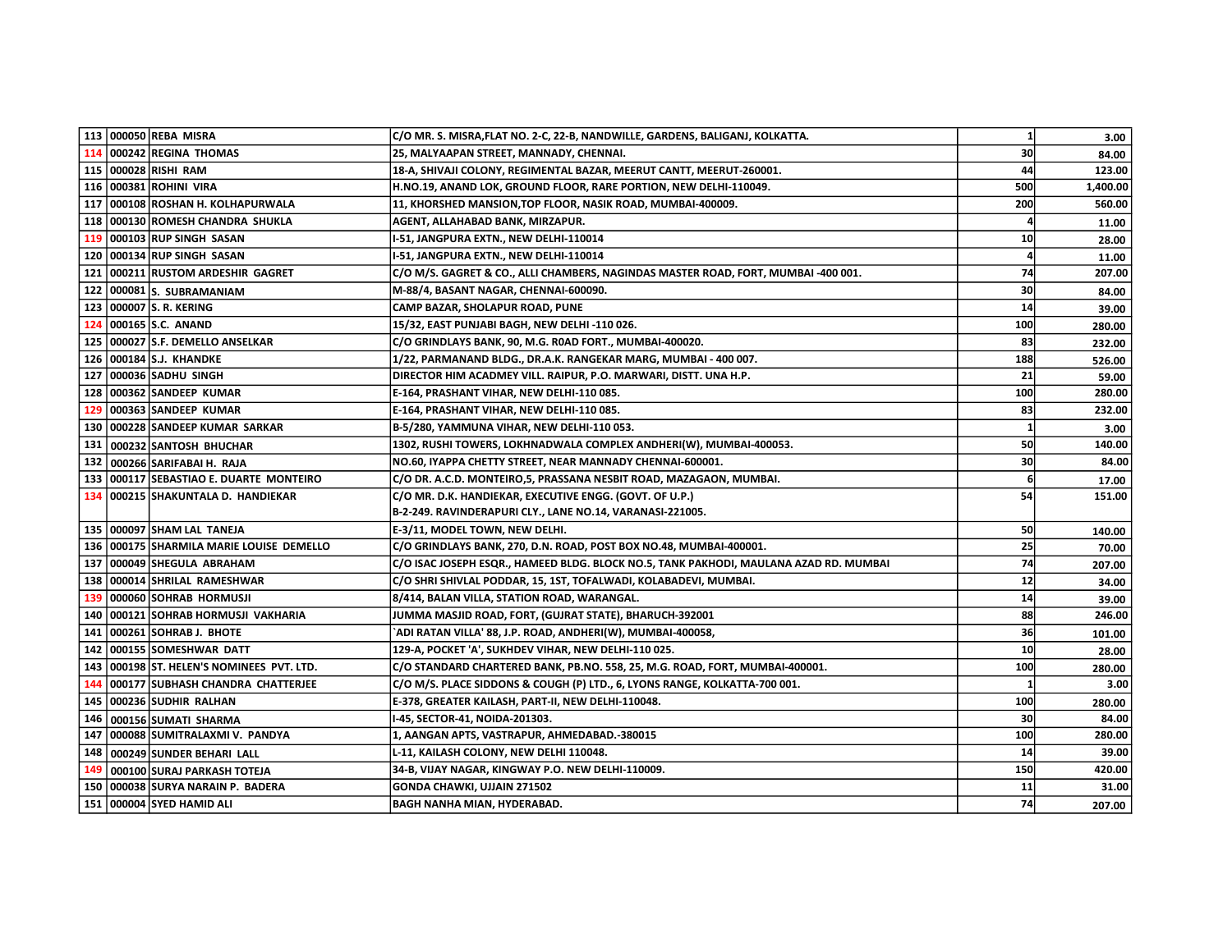|                  | 113 000050 REBA MISRA                         | C/O MR. S. MISRA, FLAT NO. 2-C, 22-B, NANDWILLE, GARDENS, BALIGANJ, KOLKATTA.         | $1\overline{ }$ | 3.00     |
|------------------|-----------------------------------------------|---------------------------------------------------------------------------------------|-----------------|----------|
| 114              | 000242 REGINA THOMAS                          | 25, MALYAAPAN STREET, MANNADY, CHENNAI.                                               | 30              | 84.00    |
|                  | 115 000028 RISHI RAM                          | 18-A, SHIVAJI COLONY, REGIMENTAL BAZAR, MEERUT CANTT, MEERUT-260001.                  | 44              | 123.00   |
|                  | 116 000381 ROHINI VIRA                        | H.NO.19, ANAND LOK, GROUND FLOOR, RARE PORTION, NEW DELHI-110049.                     | 500             | 1,400.00 |
| 117 <sup>1</sup> | 000108 ROSHAN H. KOLHAPURWALA                 | 11, KHORSHED MANSION, TOP FLOOR, NASIK ROAD, MUMBAI-400009.                           | 200             | 560.00   |
| 118              | 000130 ROMESH CHANDRA SHUKLA                  | AGENT, ALLAHABAD BANK, MIRZAPUR.                                                      |                 | 11.00    |
| 119              | 000103 RUP SINGH SASAN                        | I-51, JANGPURA EXTN., NEW DELHI-110014                                                | 10              | 28.00    |
|                  | 120 000134 RUP SINGH SASAN                    | I-51, JANGPURA EXTN., NEW DELHI-110014                                                |                 | 11.00    |
|                  | 121   000211   RUSTOM ARDESHIR GAGRET         | C/O M/S. GAGRET & CO., ALLI CHAMBERS, NAGINDAS MASTER ROAD, FORT, MUMBAI -400 001.    | 74              | 207.00   |
|                  | 122 000081 S. SUBRAMANIAM                     | M-88/4, BASANT NAGAR, CHENNAI-600090.                                                 | 30              | 84.00    |
|                  | 123   000007   S. R. KERING                   | CAMP BAZAR, SHOLAPUR ROAD, PUNE                                                       | 14              | 39.00    |
| 124              | 000165 S.C. ANAND                             | 15/32, EAST PUNJABI BAGH, NEW DELHI -110 026.                                         | 100             | 280.00   |
|                  | 125   000027   S.F. DEMELLO ANSELKAR          | C/O GRINDLAYS BANK, 90, M.G. R0AD FORT., MUMBAI-400020.                               | 83              | 232.00   |
|                  | 126   000184   S.J. KHANDKE                   | 1/22, PARMANAND BLDG., DR.A.K. RANGEKAR MARG, MUMBAI - 400 007.                       | 188             | 526.00   |
| 127              | 000036 SADHU SINGH                            | DIRECTOR HIM ACADMEY VILL. RAIPUR, P.O. MARWARI, DISTT. UNA H.P.                      | 21              | 59.00    |
|                  | 128 000362 SANDEEP KUMAR                      | E-164, PRASHANT VIHAR, NEW DELHI-110 085.                                             | 100             | 280.00   |
| 129              | 000363 SANDEEP KUMAR                          | E-164, PRASHANT VIHAR, NEW DELHI-110 085.                                             | 83              | 232.00   |
|                  | 130   000228   SANDEEP KUMAR SARKAR           | B-5/280, YAMMUNA VIHAR, NEW DELHI-110 053.                                            |                 | 3.00     |
|                  | 131 000232 SANTOSH BHUCHAR                    | 1302, RUSHI TOWERS, LOKHNADWALA COMPLEX ANDHERI(W), MUMBAI-400053.                    | 50              | 140.00   |
|                  | 132 000266 SARIFABAI H. RAJA                  | NO.60, IYAPPA CHETTY STREET, NEAR MANNADY CHENNAI-600001.                             | 30              | 84.00    |
| 133              | 000117 SEBASTIAO E. DUARTE MONTEIRO           | C/O DR. A.C.D. MONTEIRO,5, PRASSANA NESBIT ROAD, MAZAGAON, MUMBAI.                    | 6               | 17.00    |
| 134              | 000215 SHAKUNTALA D. HANDIEKAR                | C/O MR. D.K. HANDIEKAR, EXECUTIVE ENGG. (GOVT. OF U.P.)                               | 54              | 151.00   |
|                  |                                               | B-2-249. RAVINDERAPURI CLY., LANE NO.14, VARANASI-221005.                             |                 |          |
|                  | 135   000097   SHAM LAL TANEJA                | E-3/11, MODEL TOWN, NEW DELHI.                                                        | 50              | 140.00   |
|                  | 136   000175   SHARMILA MARIE LOUISE DEMELLO  | C/O GRINDLAYS BANK, 270, D.N. ROAD, POST BOX NO.48, MUMBAI-400001.                    | 25              | 70.00    |
|                  | 137   000049   SHEGULA ABRAHAM                | C/O ISAC JOSEPH ESQR., HAMEED BLDG. BLOCK NO.5, TANK PAKHODI, MAULANA AZAD RD. MUMBAI | 74              | 207.00   |
| 138              | 000014 SHRILAL RAMESHWAR                      | C/O SHRI SHIVLAL PODDAR, 15, 1ST, TOFALWADI, KOLABADEVI, MUMBAI.                      | 12              | 34.00    |
| 139              | 000060 SOHRAB HORMUSJI                        | 8/414, BALAN VILLA, STATION ROAD, WARANGAL.                                           | 14              | 39.00    |
| 140              | 000121 SOHRAB HORMUSJI VAKHARIA               | JUMMA MASJID ROAD, FORT, (GUJRAT STATE), BHARUCH-392001                               | 88              | 246.00   |
|                  | 141   000261   SOHRAB J. BHOTE                | `ADI RATAN VILLA' 88, J.P. ROAD, ANDHERI(W), MUMBAI-400058,                           | 36              | 101.00   |
|                  | 142   000155   SOMESHWAR DATT                 | 129-A, POCKET 'A', SUKHDEV VIHAR, NEW DELHI-110 025.                                  | 10              | 28.00    |
|                  | 143   000198   ST. HELEN'S NOMINEES PVT. LTD. | C/O STANDARD CHARTERED BANK, PB.NO. 558, 25, M.G. ROAD, FORT, MUMBAI-400001.          | 100             | 280.00   |
| 144              | 000177 SUBHASH CHANDRA CHATTERJEE             | C/O M/S. PLACE SIDDONS & COUGH (P) LTD., 6, LYONS RANGE, KOLKATTA-700 001.            |                 | 3.00     |
|                  | 145 000236 SUDHIR RALHAN                      | E-378, GREATER KAILASH, PART-II, NEW DELHI-110048.                                    | 100             | 280.00   |
| 146              | 000156 SUMATI SHARMA                          | I-45, SECTOR-41, NOIDA-201303.                                                        | 30              | 84.00    |
| 147              | 000088 SUMITRALAXMI V. PANDYA                 | 1, AANGAN APTS, VASTRAPUR, AHMEDABAD.-380015                                          | 100             | 280.00   |
| 148              | 000249 SUNDER BEHARI LALL                     | L-11, KAILASH COLONY, NEW DELHI 110048.                                               | 14              | 39.00    |
| 149              | 000100 SURAJ PARKASH TOTEJA                   | 34-B, VIJAY NAGAR, KINGWAY P.O. NEW DELHI-110009.                                     | 150             | 420.00   |
| 150              | 000038 SURYA NARAIN P. BADERA                 | GONDA CHAWKI, UJJAIN 271502                                                           | 11              | 31.00    |
|                  | 151   000004   SYED HAMID ALI                 | BAGH NANHA MIAN, HYDERABAD.                                                           | 74              | 207.00   |